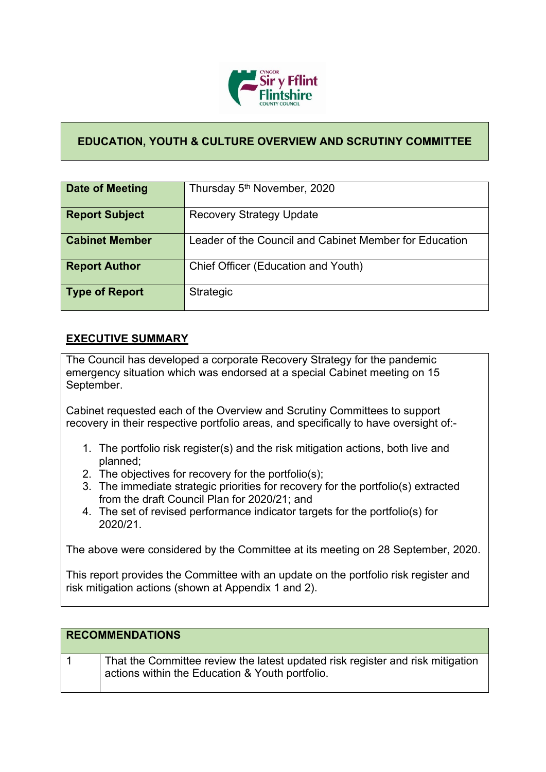

### **EDUCATION, YOUTH & CULTURE OVERVIEW AND SCRUTINY COMMITTEE**

| <b>Date of Meeting</b> | Thursday 5 <sup>th</sup> November, 2020                |
|------------------------|--------------------------------------------------------|
| <b>Report Subject</b>  | <b>Recovery Strategy Update</b>                        |
| <b>Cabinet Member</b>  | Leader of the Council and Cabinet Member for Education |
| <b>Report Author</b>   | Chief Officer (Education and Youth)                    |
| <b>Type of Report</b>  | <b>Strategic</b>                                       |

### **EXECUTIVE SUMMARY**

The Council has developed a corporate Recovery Strategy for the pandemic emergency situation which was endorsed at a special Cabinet meeting on 15 September.

Cabinet requested each of the Overview and Scrutiny Committees to support recovery in their respective portfolio areas, and specifically to have oversight of:-

- 1. The portfolio risk register(s) and the risk mitigation actions, both live and planned;
- 2. The objectives for recovery for the portfolio(s);
- 3. The immediate strategic priorities for recovery for the portfolio(s) extracted from the draft Council Plan for 2020/21; and
- 4. The set of revised performance indicator targets for the portfolio(s) for 2020/21.

The above were considered by the Committee at its meeting on 28 September, 2020.

This report provides the Committee with an update on the portfolio risk register and risk mitigation actions (shown at Appendix 1 and 2).

| <b>RECOMMENDATIONS</b> |                                                                                                                                   |
|------------------------|-----------------------------------------------------------------------------------------------------------------------------------|
|                        | That the Committee review the latest updated risk register and risk mitigation<br>actions within the Education & Youth portfolio. |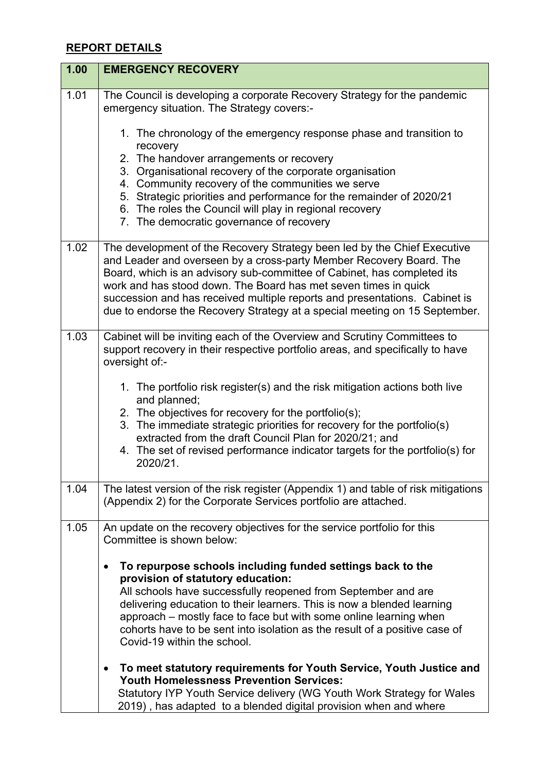## **REPORT DETAILS**

| 1.00 | <b>EMERGENCY RECOVERY</b>                                                                                                                                                                                                                                                                                                                                                                                                                                 |
|------|-----------------------------------------------------------------------------------------------------------------------------------------------------------------------------------------------------------------------------------------------------------------------------------------------------------------------------------------------------------------------------------------------------------------------------------------------------------|
| 1.01 | The Council is developing a corporate Recovery Strategy for the pandemic<br>emergency situation. The Strategy covers:-                                                                                                                                                                                                                                                                                                                                    |
|      | 1. The chronology of the emergency response phase and transition to<br>recovery                                                                                                                                                                                                                                                                                                                                                                           |
|      | 2. The handover arrangements or recovery                                                                                                                                                                                                                                                                                                                                                                                                                  |
|      | 3. Organisational recovery of the corporate organisation<br>4. Community recovery of the communities we serve                                                                                                                                                                                                                                                                                                                                             |
|      | 5. Strategic priorities and performance for the remainder of 2020/21                                                                                                                                                                                                                                                                                                                                                                                      |
|      | 6. The roles the Council will play in regional recovery                                                                                                                                                                                                                                                                                                                                                                                                   |
|      | 7. The democratic governance of recovery                                                                                                                                                                                                                                                                                                                                                                                                                  |
| 1.02 | The development of the Recovery Strategy been led by the Chief Executive<br>and Leader and overseen by a cross-party Member Recovery Board. The<br>Board, which is an advisory sub-committee of Cabinet, has completed its<br>work and has stood down. The Board has met seven times in quick<br>succession and has received multiple reports and presentations. Cabinet is<br>due to endorse the Recovery Strategy at a special meeting on 15 September. |
| 1.03 | Cabinet will be inviting each of the Overview and Scrutiny Committees to<br>support recovery in their respective portfolio areas, and specifically to have<br>oversight of:-                                                                                                                                                                                                                                                                              |
|      | 1. The portfolio risk register(s) and the risk mitigation actions both live<br>and planned;<br>2. The objectives for recovery for the portfolio(s);<br>3. The immediate strategic priorities for recovery for the portfolio(s)<br>extracted from the draft Council Plan for 2020/21; and<br>4. The set of revised performance indicator targets for the portfolio(s) for<br>2020/21.                                                                      |
| 1.04 | The latest version of the risk register (Appendix 1) and table of risk mitigations<br>(Appendix 2) for the Corporate Services portfolio are attached.                                                                                                                                                                                                                                                                                                     |
| 1.05 | An update on the recovery objectives for the service portfolio for this<br>Committee is shown below:                                                                                                                                                                                                                                                                                                                                                      |
|      | To repurpose schools including funded settings back to the<br>$\bullet$<br>provision of statutory education:<br>All schools have successfully reopened from September and are<br>delivering education to their learners. This is now a blended learning<br>approach – mostly face to face but with some online learning when<br>cohorts have to be sent into isolation as the result of a positive case of<br>Covid-19 within the school.                 |
|      | To meet statutory requirements for Youth Service, Youth Justice and<br><b>Youth Homelessness Prevention Services:</b><br>Statutory IYP Youth Service delivery (WG Youth Work Strategy for Wales<br>2019), has adapted to a blended digital provision when and where                                                                                                                                                                                       |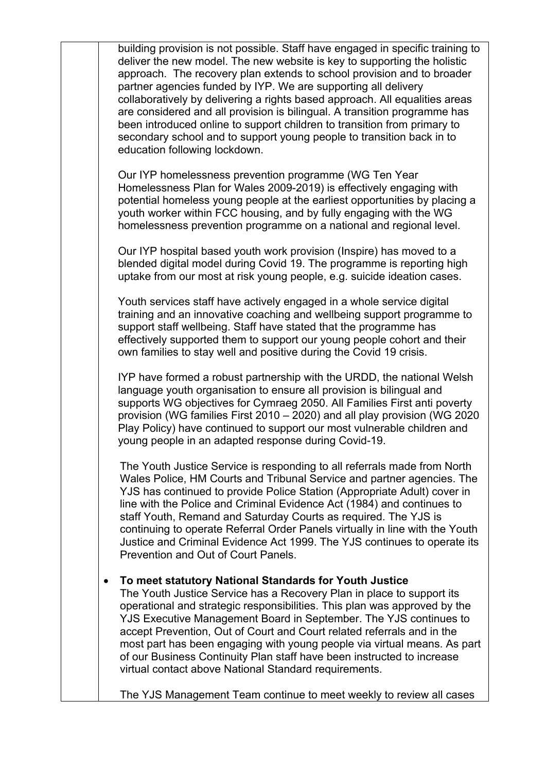| building provision is not possible. Staff have engaged in specific training to<br>deliver the new model. The new website is key to supporting the holistic<br>approach. The recovery plan extends to school provision and to broader<br>partner agencies funded by IYP. We are supporting all delivery<br>collaboratively by delivering a rights based approach. All equalities areas<br>are considered and all provision is bilingual. A transition programme has<br>been introduced online to support children to transition from primary to<br>secondary school and to support young people to transition back in to<br>education following lockdown. |
|----------------------------------------------------------------------------------------------------------------------------------------------------------------------------------------------------------------------------------------------------------------------------------------------------------------------------------------------------------------------------------------------------------------------------------------------------------------------------------------------------------------------------------------------------------------------------------------------------------------------------------------------------------|
| Our IYP homelessness prevention programme (WG Ten Year<br>Homelessness Plan for Wales 2009-2019) is effectively engaging with<br>potential homeless young people at the earliest opportunities by placing a<br>youth worker within FCC housing, and by fully engaging with the WG<br>homelessness prevention programme on a national and regional level.                                                                                                                                                                                                                                                                                                 |
| Our IYP hospital based youth work provision (Inspire) has moved to a<br>blended digital model during Covid 19. The programme is reporting high<br>uptake from our most at risk young people, e.g. suicide ideation cases.                                                                                                                                                                                                                                                                                                                                                                                                                                |
| Youth services staff have actively engaged in a whole service digital<br>training and an innovative coaching and wellbeing support programme to<br>support staff wellbeing. Staff have stated that the programme has<br>effectively supported them to support our young people cohort and their<br>own families to stay well and positive during the Covid 19 crisis.                                                                                                                                                                                                                                                                                    |
| IYP have formed a robust partnership with the URDD, the national Welsh<br>language youth organisation to ensure all provision is bilingual and<br>supports WG objectives for Cymraeg 2050. All Families First anti poverty<br>provision (WG families First 2010 - 2020) and all play provision (WG 2020<br>Play Policy) have continued to support our most vulnerable children and<br>young people in an adapted response during Covid-19.                                                                                                                                                                                                               |
| The Youth Justice Service is responding to all referrals made from North<br>Wales Police, HM Courts and Tribunal Service and partner agencies. The<br>YJS has continued to provide Police Station (Appropriate Adult) cover in<br>line with the Police and Criminal Evidence Act (1984) and continues to<br>staff Youth, Remand and Saturday Courts as required. The YJS is<br>continuing to operate Referral Order Panels virtually in line with the Youth<br>Justice and Criminal Evidence Act 1999. The YJS continues to operate its<br>Prevention and Out of Court Panels.                                                                           |
| To meet statutory National Standards for Youth Justice<br>The Youth Justice Service has a Recovery Plan in place to support its<br>operational and strategic responsibilities. This plan was approved by the<br>YJS Executive Management Board in September. The YJS continues to<br>accept Prevention, Out of Court and Court related referrals and in the<br>most part has been engaging with young people via virtual means. As part<br>of our Business Continuity Plan staff have been instructed to increase<br>virtual contact above National Standard requirements.                                                                               |

The YJS Management Team continue to meet weekly to review all cases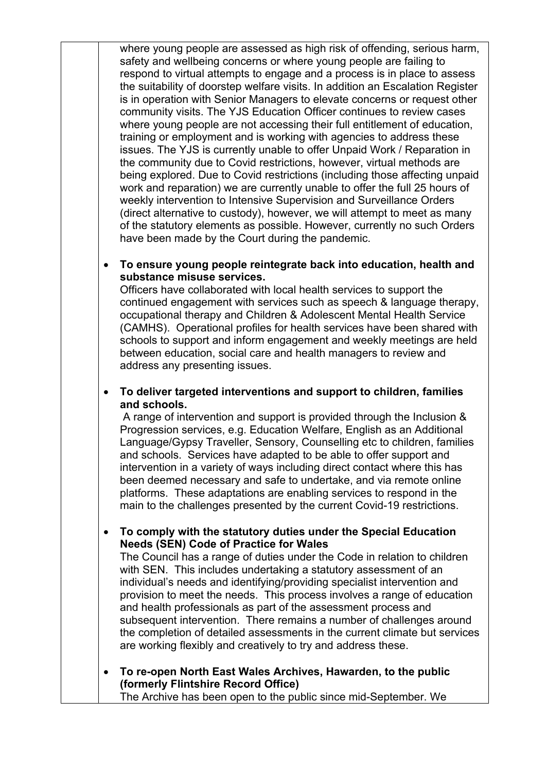where young people are assessed as high risk of offending, serious harm, safety and wellbeing concerns or where young people are failing to respond to virtual attempts to engage and a process is in place to assess the suitability of doorstep welfare visits. In addition an Escalation Register is in operation with Senior Managers to elevate concerns or request other community visits. The YJS Education Officer continues to review cases where young people are not accessing their full entitlement of education, training or employment and is working with agencies to address these issues. The YJS is currently unable to offer Unpaid Work / Reparation in the community due to Covid restrictions, however, virtual methods are being explored. Due to Covid restrictions (including those affecting unpaid work and reparation) we are currently unable to offer the full 25 hours of weekly intervention to Intensive Supervision and Surveillance Orders (direct alternative to custody), however, we will attempt to meet as many of the statutory elements as possible. However, currently no such Orders have been made by the Court during the pandemic.

#### **To ensure young people reintegrate back into education, health and substance misuse services.**

Officers have collaborated with local health services to support the continued engagement with services such as speech & language therapy, occupational therapy and Children & Adolescent Mental Health Service (CAMHS). Operational profiles for health services have been shared with schools to support and inform engagement and weekly meetings are held between education, social care and health managers to review and address any presenting issues.

 **To deliver targeted interventions and support to children, families and schools.**

A range of intervention and support is provided through the Inclusion & Progression services, e.g. Education Welfare, English as an Additional Language/Gypsy Traveller, Sensory, Counselling etc to children, families and schools. Services have adapted to be able to offer support and intervention in a variety of ways including direct contact where this has been deemed necessary and safe to undertake, and via remote online platforms. These adaptations are enabling services to respond in the main to the challenges presented by the current Covid-19 restrictions.

 **To comply with the statutory duties under the Special Education Needs (SEN) Code of Practice for Wales**

The Council has a range of duties under the Code in relation to children with SEN. This includes undertaking a statutory assessment of an individual's needs and identifying/providing specialist intervention and provision to meet the needs. This process involves a range of education and health professionals as part of the assessment process and subsequent intervention. There remains a number of challenges around the completion of detailed assessments in the current climate but services are working flexibly and creatively to try and address these.

 **To re-open North East Wales Archives, Hawarden, to the public (formerly Flintshire Record Office)** The Archive has been open to the public since mid-September. We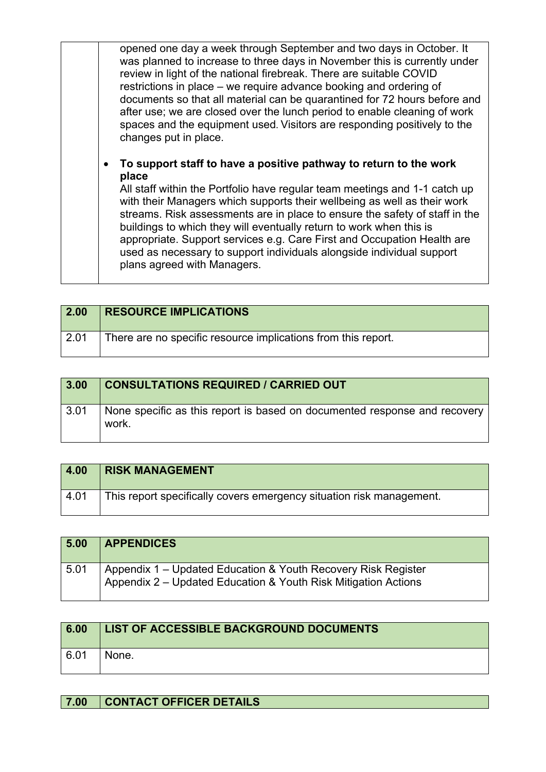| opened one day a week through September and two days in October. It<br>was planned to increase to three days in November this is currently under<br>review in light of the national firebreak. There are suitable COVID<br>restrictions in place - we require advance booking and ordering of<br>documents so that all material can be quarantined for 72 hours before and<br>after use; we are closed over the lunch period to enable cleaning of work<br>spaces and the equipment used. Visitors are responding positively to the<br>changes put in place.                  |
|-------------------------------------------------------------------------------------------------------------------------------------------------------------------------------------------------------------------------------------------------------------------------------------------------------------------------------------------------------------------------------------------------------------------------------------------------------------------------------------------------------------------------------------------------------------------------------|
| To support staff to have a positive pathway to return to the work<br>place<br>All staff within the Portfolio have regular team meetings and 1-1 catch up<br>with their Managers which supports their wellbeing as well as their work<br>streams. Risk assessments are in place to ensure the safety of staff in the<br>buildings to which they will eventually return to work when this is<br>appropriate. Support services e.g. Care First and Occupation Health are<br>used as necessary to support individuals alongside individual support<br>plans agreed with Managers. |

| 2.00 | <b>RESOURCE IMPLICATIONS</b>                                  |
|------|---------------------------------------------------------------|
| 2.01 | There are no specific resource implications from this report. |

| 3.00 | <b>CONSULTATIONS REQUIRED / CARRIED OUT</b>                                        |
|------|------------------------------------------------------------------------------------|
| 3.01 | None specific as this report is based on documented response and recovery<br>work. |

| 4.00 | <b>RISK MANAGEMENT</b>                                               |
|------|----------------------------------------------------------------------|
| 4.01 | This report specifically covers emergency situation risk management. |

| 5.00 | <b>APPENDICES</b>                                                                                                               |
|------|---------------------------------------------------------------------------------------------------------------------------------|
| 5.01 | Appendix 1 – Updated Education & Youth Recovery Risk Register<br>Appendix 2 – Updated Education & Youth Risk Mitigation Actions |

| 6.00 | LIST OF ACCESSIBLE BACKGROUND DOCUMENTS |
|------|-----------------------------------------|
| 6.01 | None.                                   |

# **7.00 CONTACT OFFICER DETAILS**